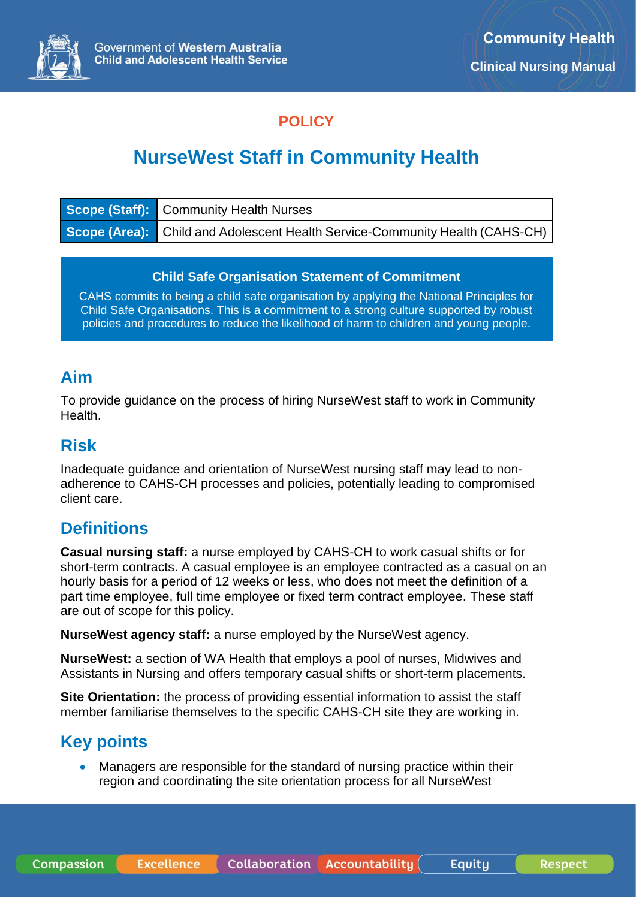

## **POLICY**

# **NurseWest Staff in Community Health**

| Scope (Staff): Community Health Nurses                                       |
|------------------------------------------------------------------------------|
| Scope (Area): Child and Adolescent Health Service-Community Health (CAHS-CH) |

#### **Child Safe Organisation Statement of Commitment**

CAHS commits to being a child safe organisation by applying the National Principles for Child Safe Organisations. This is a commitment to a strong culture supported by robust policies and procedures to reduce the likelihood of harm to children and young people.

### **Aim**

To provide guidance on the process of hiring NurseWest staff to work in Community Health.

## **Risk**

Inadequate guidance and orientation of NurseWest nursing staff may lead to nonadherence to CAHS-CH processes and policies, potentially leading to compromised client care.

## **Definitions**

**Casual nursing staff:** a nurse employed by CAHS-CH to work casual shifts or for short-term contracts. A casual employee is an employee contracted as a casual on an hourly basis for a period of 12 weeks or less, who does not meet the definition of a part time employee, full time employee or fixed term contract employee. These staff are out of scope for this policy.

**NurseWest agency staff:** a nurse employed by the NurseWest agency.

**NurseWest:** a section of WA Health that employs a pool of nurses, Midwives and Assistants in Nursing and offers temporary casual shifts or short-term placements.

**Site Orientation:** the process of providing essential information to assist the staff member familiarise themselves to the specific CAHS-CH site they are working in.

## **Key points**

• Managers are responsible for the standard of nursing practice within their region and coordinating the site orientation process for all NurseWest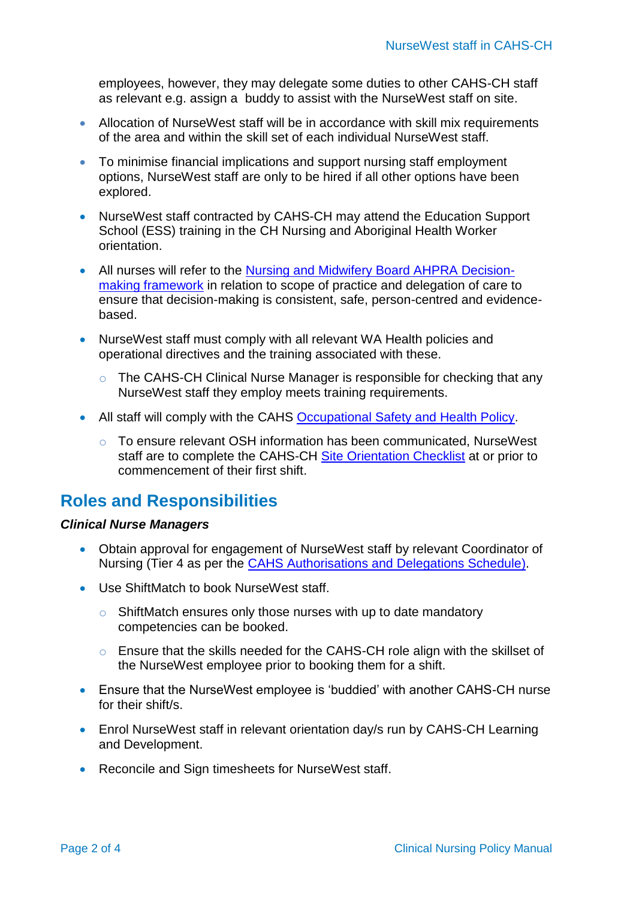employees, however, they may delegate some duties to other CAHS-CH staff as relevant e.g. assign a buddy to assist with the NurseWest staff on site.

- Allocation of NurseWest staff will be in accordance with skill mix requirements of the area and within the skill set of each individual NurseWest staff.
- To minimise financial implications and support nursing staff employment options, NurseWest staff are only to be hired if all other options have been explored.
- NurseWest staff contracted by CAHS-CH may attend the Education Support School (ESS) training in the CH Nursing and Aboriginal Health Worker orientation.
- All nurses will refer to the [Nursing and Midwifery Board AHPRA Decision](https://www.nursingmidwiferyboard.gov.au/documents/default.aspx?record=WD19%2f29157&dbid=AP&chksum=9LilUkdFvM5AJeKIaJZd1A%3d%3d)[making framework](https://www.nursingmidwiferyboard.gov.au/documents/default.aspx?record=WD19%2f29157&dbid=AP&chksum=9LilUkdFvM5AJeKIaJZd1A%3d%3d) in relation to scope of practice and delegation of care to ensure that decision-making is consistent, safe, person-centred and evidencebased.
- NurseWest staff must comply with all relevant WA Health policies and operational directives and the training associated with these.
	- The CAHS-CH Clinical Nurse Manager is responsible for checking that any NurseWest staff they employ meets training requirements.
- All staff will comply with the CAHS [Occupational Safety and Health Policy.](https://ww2.health.wa.gov.au/~/media/Files/Corporate/general%20documents/CAHS/WorkforcePolicies/OccupationalSafetyandHealth.pdf)
	- o To ensure relevant OSH information has been communicated, NurseWest staff are to complete the CAHS-CH [Site Orientation Checklist](https://cahs-healthpoint.hdwa.health.wa.gov.au/cach/LearningandDevelopment/My-Learning/Induction%20and%20Orientation/Site_orientation_checklist_for_new_employees.pdf) at or prior to commencement of their first shift.

## **Roles and Responsibilities**

#### *Clinical Nurse Managers*

- Obtain approval for engagement of NurseWest staff by relevant Coordinator of Nursing (Tier 4 as per the [CAHS Authorisations and Delegations Schedule\)](https://cahs-healthpoint.hdwa.health.wa.gov.au/directory/financebusiness/Pages/Authorisation-Schedules.aspx).
- Use ShiftMatch to book NurseWest staff.
	- o ShiftMatch ensures only those nurses with up to date mandatory competencies can be booked.
	- o Ensure that the skills needed for the CAHS-CH role align with the skillset of the NurseWest employee prior to booking them for a shift.
- Ensure that the NurseWest employee is 'buddied' with another CAHS-CH nurse for their shift/s.
- Enrol NurseWest staff in relevant orientation day/s run by CAHS-CH Learning and Development.
- Reconcile and Sign timesheets for NurseWest staff.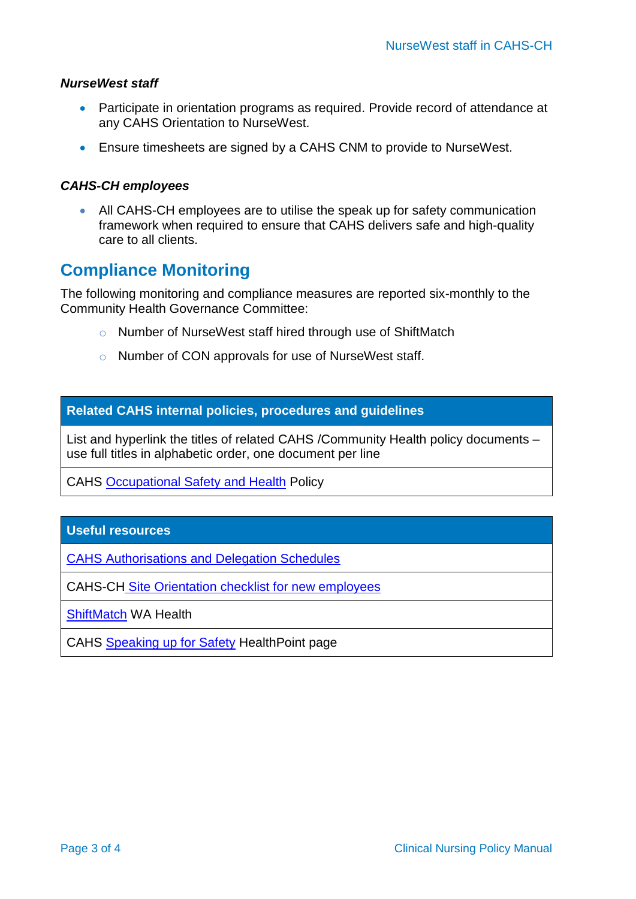#### *NurseWest staff*

- Participate in orientation programs as required. Provide record of attendance at any CAHS Orientation to NurseWest.
- Ensure timesheets are signed by a CAHS CNM to provide to NurseWest.

#### *CAHS-CH employees*

• All CAHS-CH employees are to utilise the speak up for safety communication framework when required to ensure that CAHS delivers safe and high-quality care to all clients.

### **Compliance Monitoring**

The following monitoring and compliance measures are reported six-monthly to the Community Health Governance Committee:

- o Number of NurseWest staff hired through use of ShiftMatch
- o Number of CON approvals for use of NurseWest staff.

#### **Related CAHS internal policies, procedures and guidelines**

List and hyperlink the titles of related CAHS /Community Health policy documents – use full titles in alphabetic order, one document per line

CAHS [Occupational Safety and Health](https://ww2.health.wa.gov.au/~/media/Files/Corporate/general%20documents/CAHS/WorkforcePolicies/OccupationalSafetyandHealth.pdf) Policy

#### **Useful resources**

[CAHS Authorisations and Delegation Schedules](https://cahs-healthpoint.hdwa.health.wa.gov.au/directory/financebusiness/Pages/Authorisation-Schedules.aspx)

CAHS-CH [Site Orientation checklist for new employees](https://cahs-healthpoint.hdwa.health.wa.gov.au/cach/LearningandDevelopment/My-Learning/Induction%20and%20Orientation/Site_orientation_checklist_for_new_employees.pdf)

[ShiftMatch](https://nw.shiftmatch.com.au/cascom/login.new.do) WA Health

CAHS [Speaking up for Safety](https://cahs-healthpoint.hdwa.health.wa.gov.au/workingatcahs/training/sufs/Pages/default.aspx) HealthPoint page